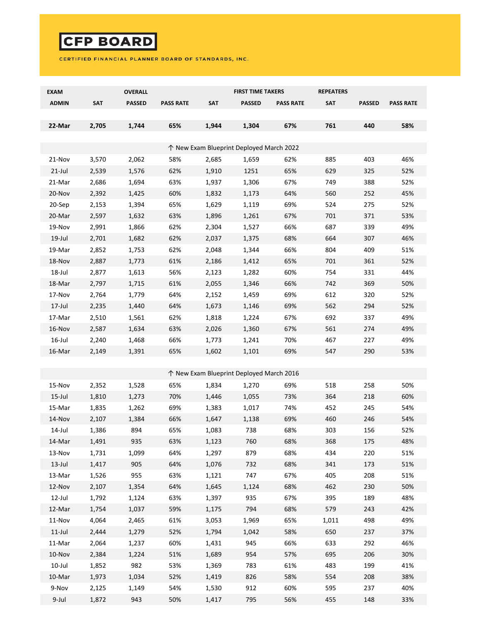## **CFP BOARD**

## CERTIFIED FINANCIAL PLANNER BOARD OF STANDARDS, INC.

| <b>EXAM</b>                              |       | OVERALL       |                  |            | <b>FIRST TIME TAKERS</b>                 |                  | <b>REPEATERS</b> |               |                  |  |  |  |
|------------------------------------------|-------|---------------|------------------|------------|------------------------------------------|------------------|------------------|---------------|------------------|--|--|--|
| <b>ADMIN</b>                             | SAT   | <b>PASSED</b> | <b>PASS RATE</b> | <b>SAT</b> | <b>PASSED</b>                            | <b>PASS RATE</b> | <b>SAT</b>       | <b>PASSED</b> | <b>PASS RATE</b> |  |  |  |
|                                          |       |               |                  |            |                                          |                  |                  |               |                  |  |  |  |
| 22-Mar                                   | 2,705 | 1,744         | 65%              | 1,944      | 1,304                                    | 67%              | 761              | 440           | 58%              |  |  |  |
|                                          |       |               |                  |            |                                          |                  |                  |               |                  |  |  |  |
| ↑ New Exam Blueprint Deployed March 2022 |       |               |                  |            |                                          |                  |                  |               |                  |  |  |  |
| 21-Nov                                   | 3,570 | 2,062         | 58%              | 2,685      | 1,659                                    | 62%              | 885              | 403           | 46%              |  |  |  |
| $21$ -Jul                                | 2,539 | 1,576         | 62%              | 1,910      | 1251                                     | 65%              | 629              | 325           | 52%              |  |  |  |
| 21-Mar                                   | 2,686 | 1,694         | 63%              | 1,937      | 1,306                                    | 67%              | 749              | 388           | 52%              |  |  |  |
| 20-Nov                                   | 2,392 | 1,425         | 60%              | 1,832      | 1,173                                    | 64%              | 560              | 252           | 45%              |  |  |  |
| 20-Sep                                   | 2,153 | 1,394         | 65%              | 1,629      | 1,119                                    | 69%              | 524              | 275           | 52%              |  |  |  |
| 20-Mar                                   | 2,597 | 1,632         | 63%              | 1,896      | 1,261                                    | 67%              | 701              | 371           | 53%              |  |  |  |
| 19-Nov                                   | 2,991 | 1,866         | 62%              | 2,304      | 1,527                                    | 66%              | 687              | 339           | 49%              |  |  |  |
| $19$ -Jul                                | 2,701 | 1,682         | 62%              | 2,037      | 1,375                                    | 68%              | 664              | 307           | 46%              |  |  |  |
| 19-Mar                                   | 2,852 | 1,753         | 62%              | 2,048      | 1,344                                    | 66%              | 804              | 409           | 51%              |  |  |  |
| 18-Nov                                   | 2,887 | 1,773         | 61%              | 2,186      | 1,412                                    | 65%              | 701              | 361           | 52%              |  |  |  |
| 18-Jul                                   | 2,877 | 1,613         | 56%              | 2,123      | 1,282                                    | 60%              | 754              | 331           | 44%              |  |  |  |
| 18-Mar                                   | 2,797 | 1,715         | 61%              | 2,055      | 1,346                                    | 66%              | 742              | 369           | 50%              |  |  |  |
| 17-Nov                                   | 2,764 | 1,779         | 64%              | 2,152      | 1,459                                    | 69%              | 612              | 320           | 52%              |  |  |  |
| $17$ -Jul                                | 2,235 | 1,440         | 64%              | 1,673      | 1,146                                    | 69%              | 562              | 294           | 52%              |  |  |  |
| 17-Mar                                   | 2,510 | 1,561         | 62%              | 1,818      | 1,224                                    | 67%              | 692              | 337           | 49%              |  |  |  |
| 16-Nov                                   | 2,587 | 1,634         | 63%              | 2,026      | 1,360                                    | 67%              | 561              | 274           | 49%              |  |  |  |
| $16$ -Jul                                | 2,240 | 1,468         | 66%              | 1,773      | 1,241                                    | 70%              | 467              | 227           | 49%              |  |  |  |
| 16-Mar                                   | 2,149 | 1,391         | 65%              | 1,602      | 1,101                                    | 69%              | 547              | 290           | 53%              |  |  |  |
|                                          |       |               |                  |            |                                          |                  |                  |               |                  |  |  |  |
|                                          |       |               |                  |            | ↑ New Exam Blueprint Deployed March 2016 |                  |                  |               |                  |  |  |  |
| 15-Nov                                   | 2,352 | 1,528         | 65%              | 1,834      | 1,270                                    | 69%              | 518              | 258           | 50%              |  |  |  |
| $15$ -Jul                                | 1,810 | 1,273         | 70%              | 1,446      | 1,055                                    | 73%              | 364              | 218           | 60%              |  |  |  |
| 15-Mar                                   | 1,835 | 1,262         | 69%              | 1,383      | 1,017                                    | 74%              | 452              | 245           | 54%              |  |  |  |
| 14-Nov                                   | 2,107 | 1,384         | 66%              | 1,647      | 1,138                                    | 69%              | 460              | 246           | 54%              |  |  |  |
| 14-Jul                                   | 1,386 | 894           | 65%              | 1,083      | 738                                      | 68%              | 303              | 156           | 52%              |  |  |  |
| 14-Mar                                   | 1,491 | 935           | 63%              | 1,123      | 760                                      | 68%              | 368              | 175           | 48%              |  |  |  |
| 13-Nov                                   | 1,731 | 1,099         | 64%              | 1,297      | 879                                      | 68%              | 434              | 220           | 51%              |  |  |  |
| $13$ -Jul                                | 1,417 | 905           | 64%              | 1,076      | 732                                      | 68%              | 341              | 173           | 51%              |  |  |  |
| 13-Mar                                   | 1,526 | 955           | 63%              | 1,121      | 747                                      | 67%              | 405              | 208           | 51%              |  |  |  |
| 12-Nov                                   | 2,107 | 1,354         | 64%              | 1,645      | 1,124                                    | 68%              | 462              | 230           | 50%              |  |  |  |
| 12-Jul                                   | 1,792 | 1,124         | 63%              | 1,397      | 935                                      | 67%              | 395              | 189           | 48%              |  |  |  |
| 12-Mar                                   | 1,754 | 1,037         | 59%              | 1,175      | 794                                      | 68%              | 579              | 243           | 42%              |  |  |  |
| 11-Nov                                   | 4,064 | 2,465         | 61%              | 3,053      | 1,969                                    | 65%              | 1,011            | 498           | 49%              |  |  |  |
| $11$ -Jul                                | 2,444 | 1,279         | 52%              | 1,794      | 1,042                                    | 58%              | 650              | 237           | 37%              |  |  |  |
| 11-Mar                                   | 2,064 | 1,237         | 60%              | 1,431      | 945                                      | 66%              | 633              | 292           | 46%              |  |  |  |
| 10-Nov                                   | 2,384 | 1,224         | 51%              | 1,689      | 954                                      | 57%              | 695              | 206           | 30%              |  |  |  |
| 10-Jul                                   | 1,852 | 982           | 53%              | 1,369      | 783                                      | 61%              | 483              | 199           | 41%              |  |  |  |
| 10-Mar                                   | 1,973 | 1,034         | 52%              | 1,419      | 826                                      | 58%              | 554              | 208           | 38%              |  |  |  |
| 9-Nov                                    | 2,125 | 1,149         | 54%              | 1,530      | 912                                      | 60%              | 595              | 237           | 40%              |  |  |  |
| 9-Jul                                    | 1,872 | 943           | 50%              | 1,417      | 795                                      | 56%              | 455              | 148           | 33%              |  |  |  |